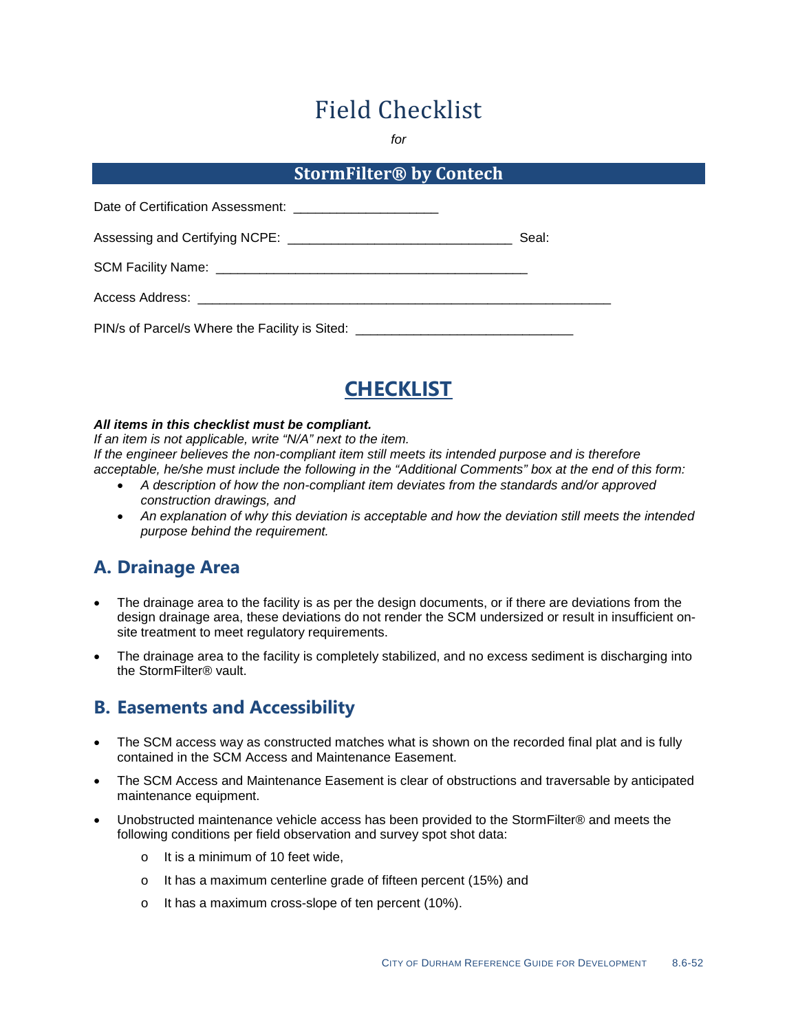# Field Checklist

*for*

#### **StormFilter® by Contech**

| Assessing and Certifying NCPE: ___________________________________               | Seal: |
|----------------------------------------------------------------------------------|-------|
|                                                                                  |       |
| Access Address: ________________________________                                 |       |
| PIN/s of Parcel/s Where the Facility is Sited: _________________________________ |       |



#### *All items in this checklist must be compliant.*

*If an item is not applicable, write "N/A" next to the item. If the engineer believes the non-compliant item still meets its intended purpose and is therefore acceptable, he/she must include the following in the "Additional Comments" box at the end of this form:*

- *A description of how the non-compliant item deviates from the standards and/or approved construction drawings, and*
- *An explanation of why this deviation is acceptable and how the deviation still meets the intended purpose behind the requirement.*

### **A. Drainage Area**

- The drainage area to the facility is as per the design documents, or if there are deviations from the design drainage area, these deviations do not render the SCM undersized or result in insufficient onsite treatment to meet regulatory requirements.
- The drainage area to the facility is completely stabilized, and no excess sediment is discharging into the StormFilter® vault.

#### **B. Easements and Accessibility**

- The SCM access way as constructed matches what is shown on the recorded final plat and is fully contained in the SCM Access and Maintenance Easement.
- The SCM Access and Maintenance Easement is clear of obstructions and traversable by anticipated maintenance equipment.
- Unobstructed maintenance vehicle access has been provided to the StormFilter® and meets the following conditions per field observation and survey spot shot data:
	- o It is a minimum of 10 feet wide,
	- o It has a maximum centerline grade of fifteen percent (15%) and
	- o It has a maximum cross-slope of ten percent (10%).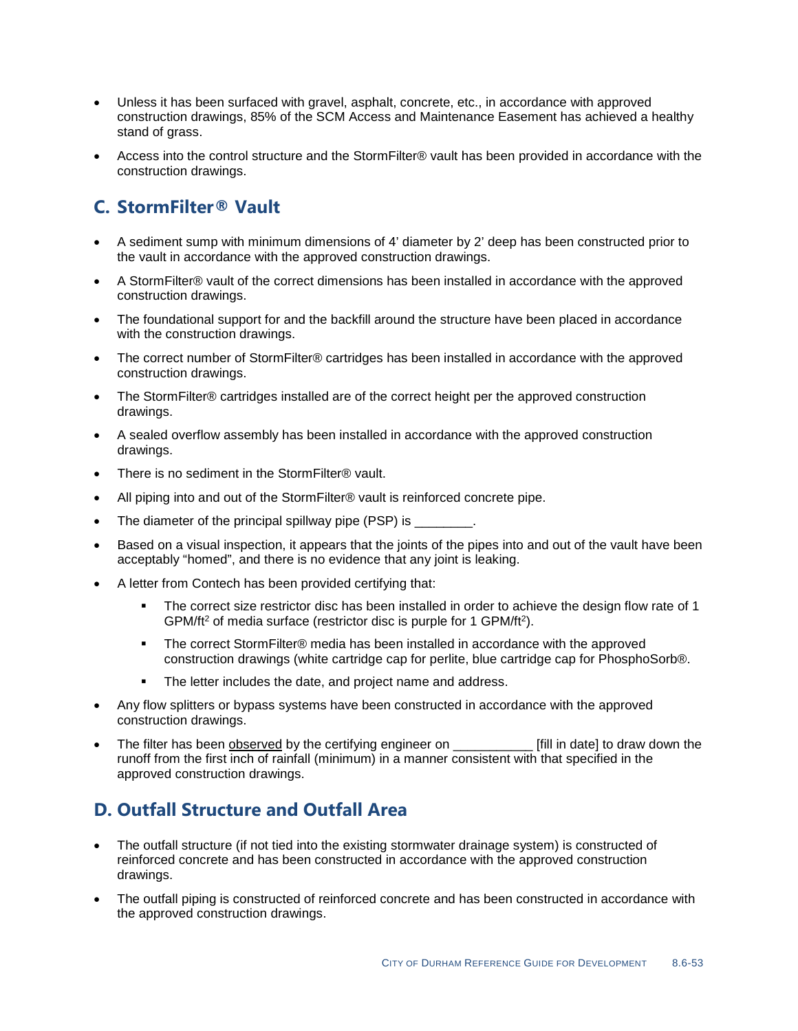- Unless it has been surfaced with gravel, asphalt, concrete, etc., in accordance with approved construction drawings, 85% of the SCM Access and Maintenance Easement has achieved a healthy stand of grass.
- Access into the control structure and the StormFilter® vault has been provided in accordance with the construction drawings.

## **C. StormFilter® Vault**

- A sediment sump with minimum dimensions of 4' diameter by 2' deep has been constructed prior to the vault in accordance with the approved construction drawings.
- A StormFilter® vault of the correct dimensions has been installed in accordance with the approved construction drawings.
- The foundational support for and the backfill around the structure have been placed in accordance with the construction drawings.
- The correct number of StormFilter® cartridges has been installed in accordance with the approved construction drawings.
- The StormFilter® cartridges installed are of the correct height per the approved construction drawings.
- A sealed overflow assembly has been installed in accordance with the approved construction drawings.
- There is no sediment in the StormFilter® vault.
- All piping into and out of the StormFilter® vault is reinforced concrete pipe.
- The diameter of the principal spillway pipe (PSP) is
- Based on a visual inspection, it appears that the joints of the pipes into and out of the vault have been acceptably "homed", and there is no evidence that any joint is leaking.
- A letter from Contech has been provided certifying that:
	- The correct size restrictor disc has been installed in order to achieve the design flow rate of 1 GPM/ft2 of media surface (restrictor disc is purple for 1 GPM/ft2).
	- The correct StormFilter® media has been installed in accordance with the approved construction drawings (white cartridge cap for perlite, blue cartridge cap for PhosphoSorb®.
	- **The letter includes the date, and project name and address.**
- Any flow splitters or bypass systems have been constructed in accordance with the approved construction drawings.
- The filter has been **observed** by the certifying engineer on \_\_\_\_\_\_\_\_\_\_\_\_\_\_\_\_ [fill in date] to draw down the runoff from the first inch of rainfall (minimum) in a manner consistent with that specified in the approved construction drawings.

# **D. Outfall Structure and Outfall Area**

- The outfall structure (if not tied into the existing stormwater drainage system) is constructed of reinforced concrete and has been constructed in accordance with the approved construction drawings.
- The outfall piping is constructed of reinforced concrete and has been constructed in accordance with the approved construction drawings.